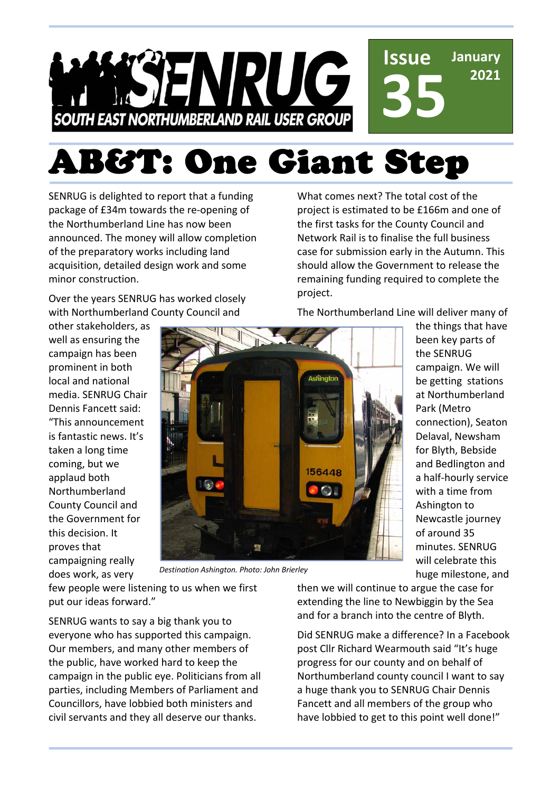

# AB&T: One Giant Step

SENRUG is delighted to report that a funding package of £34m towards the re-opening of the Northumberland Line has now been announced. The money will allow completion of the preparatory works including land acquisition, detailed design work and some minor construction.

Over the years SENRUG has worked closely with Northumberland County Council and

other stakeholders, as well as ensuring the campaign has been prominent in both local and national media. SENRUG Chair Dennis Fancett said: "This announcement is fantastic news. It's taken a long time coming, but we applaud both Northumberland County Council and the Government for this decision. It proves that campaigning really does work, as very



*Destination Ashington. Photo: John Brierley*

few people were listening to us when we first put our ideas forward."

SENRUG wants to say a big thank you to everyone who has supported this campaign. Our members, and many other members of the public, have worked hard to keep the campaign in the public eye. Politicians from all parties, including Members of Parliament and Councillors, have lobbied both ministers and civil servants and they all deserve our thanks.

What comes next? The total cost of the project is estimated to be £166m and one of the first tasks for the County Council and Network Rail is to finalise the full business case for submission early in the Autumn. This should allow the Government to release the remaining funding required to complete the project.

The Northumberland Line will deliver many of

the things that have been key parts of the SENRUG campaign. We will be getting stations at Northumberland Park (Metro connection), Seaton Delaval, Newsham for Blyth, Bebside and Bedlington and a half-hourly service with a time from Ashington to Newcastle journey of around 35 minutes. SENRUG will celebrate this huge milestone, and

then we will continue to argue the case for extending the line to Newbiggin by the Sea and for a branch into the centre of Blyth.

Did SENRUG make a difference? In a Facebook post Cllr Richard Wearmouth said "It's huge progress for our county and on behalf of Northumberland county council I want to say a huge thank you to SENRUG Chair Dennis Fancett and all members of the group who have lobbied to get to this point well done!"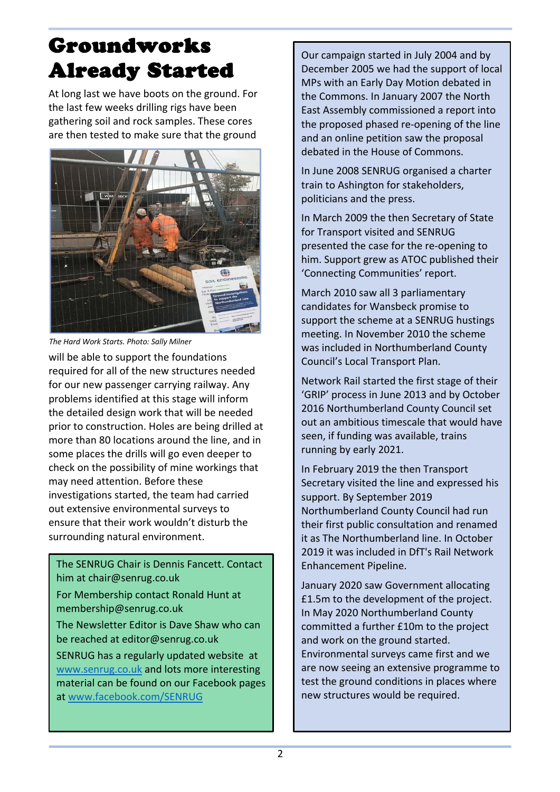# Groundworks Already Started

At long last we have boots on the ground. For the last few weeks drilling rigs have been gathering soil and rock samples. These cores are then tested to make sure that the ground



*The Hard Work Starts. Photo: Sally Milner*

will be able to support the foundations required for all of the new structures needed for our new passenger carrying railway. Any problems identified at this stage will inform the detailed design work that will be needed prior to construction. Holes are being drilled at more than 80 locations around the line, and in some places the drills will go even deeper to check on the possibility of mine workings that may need attention. Before these investigations started, the team had carried out extensive environmental surveys to ensure that their work wouldn't disturb the surrounding natural environment.

 The SENRUG Chair is Dennis Fancett. Contact him at chair@senrug.co.uk

For Membership contact Ronald Hunt at membership@senrug.co.uk

The Newsletter Editor is Dave Shaw who can be reached at editor@senrug.co.uk

SENRUG has a regularly updated website at www.senrug.co.uk and lots more interesting material can be found on our Facebook pages at www.facebook.com/SENRUG

Our campaign started in July 2004 and by December 2005 we had the support of local MPs with an Early Day Motion debated in the Commons. In January 2007 the North East Assembly commissioned a report into the proposed phased re-opening of the line and an online petition saw the proposal debated in the House of Commons.

In June 2008 SENRUG organised a charter train to Ashington for stakeholders, politicians and the press.

In March 2009 the then Secretary of State for Transport visited and SENRUG presented the case for the re-opening to him. Support grew as ATOC published their 'Connecting Communities' report.

March 2010 saw all 3 parliamentary candidates for Wansbeck promise to support the scheme at a SENRUG hustings meeting. In November 2010 the scheme was included in Northumberland County Council's Local Transport Plan.

Network Rail started the first stage of their 'GRIP' process in June 2013 and by October 2016 Northumberland County Council set out an ambitious timescale that would have seen, if funding was available, trains running by early 2021.

In February 2019 the then Transport Secretary visited the line and expressed his support. By September 2019 Northumberland County Council had run their first public consultation and renamed it as The Northumberland line. In October 2019 it was included in DfT's Rail Network Enhancement Pipeline.

January 2020 saw Government allocating £1.5m to the development of the project. In May 2020 Northumberland County committed a further £10m to the project and work on the ground started. Environmental surveys came first and we are now seeing an extensive programme to test the ground conditions in places where new structures would be required.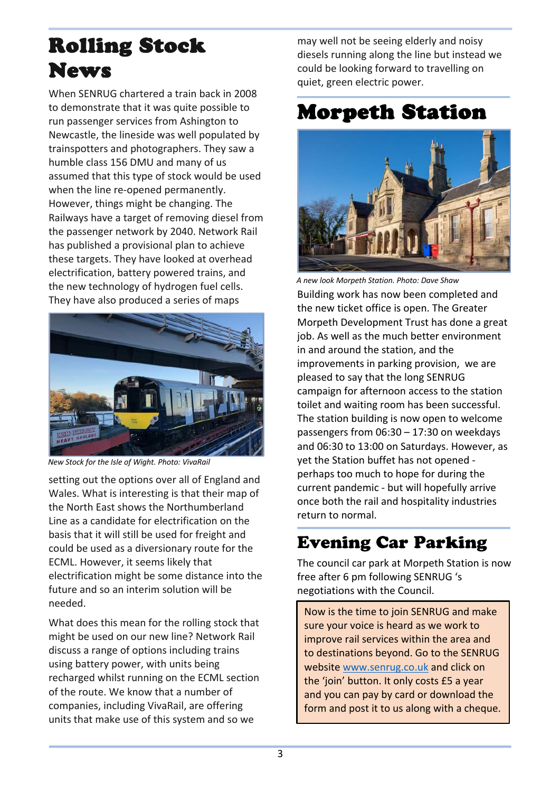# Rolling Stock News

When SENRUG chartered a train back in 2008 to demonstrate that it was quite possible to run passenger services from Ashington to Newcastle, the lineside was well populated by trainspotters and photographers. They saw a humble class 156 DMU and many of us assumed that this type of stock would be used when the line re-opened permanently. However, things might be changing. The Railways have a target of removing diesel from the passenger network by 2040. Network Rail has published a provisional plan to achieve these targets. They have looked at overhead electrification, battery powered trains, and the new technology of hydrogen fuel cells. They have also produced a series of maps



*New Stock for the Isle of Wight. Photo: VivaRail*

setting out the options over all of England and Wales. What is interesting is that their map of the North East shows the Northumberland Line as a candidate for electrification on the basis that it will still be used for freight and could be used as a diversionary route for the ECML. However, it seems likely that electrification might be some distance into the future and so an interim solution will be needed.

What does this mean for the rolling stock that might be used on our new line? Network Rail discuss a range of options including trains using battery power, with units being recharged whilst running on the ECML section of the route. We know that a number of companies, including VivaRail, are offering units that make use of this system and so we

may well not be seeing elderly and noisy diesels running along the line but instead we could be looking forward to travelling on quiet, green electric power.

#### Morpeth Station



Building work has now been completed and the new ticket office is open. The Greater Morpeth Development Trust has done a great job. As well as the much better environment in and around the station, and the improvements in parking provision, we are pleased to say that the long SENRUG campaign for afternoon access to the station toilet and waiting room has been successful. The station building is now open to welcome passengers from 06:30 – 17:30 on weekdays and 06:30 to 13:00 on Saturdays. However, as yet the Station buffet has not opened perhaps too much to hope for during the current pandemic - but will hopefully arrive once both the rail and hospitality industries return to normal. *A new look Morpeth Station. Photo: Dave Shaw*

#### Evening Car Parking

The council car park at Morpeth Station is now free after 6 pm following SENRUG 's negotiations with the Council.

Now is the time to join SENRUG and make sure your voice is heard as we work to improve rail services within the area and to destinations beyond. Go to the SENRUG website www.senrug.co.uk and click on the 'join' button. It only costs £5 a year and you can pay by card or download the form and post it to us along with a cheque.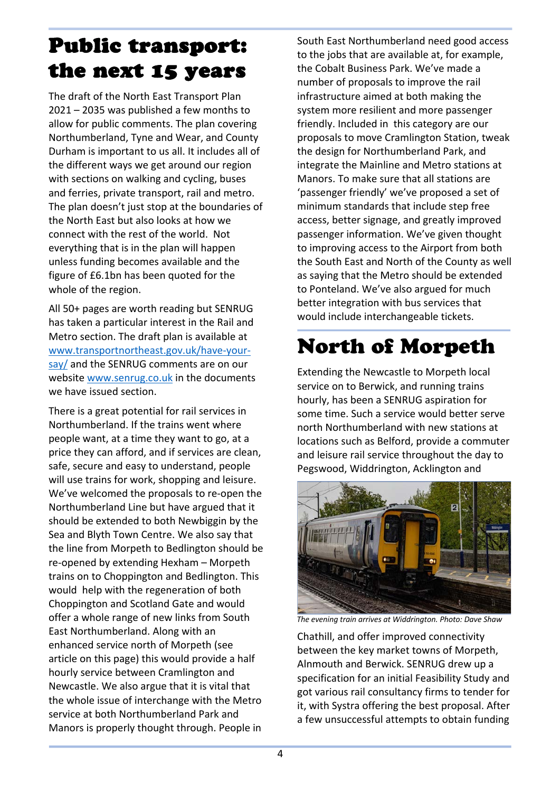# Public transport: the next 15 years

The draft of the North East Transport Plan 2021 – 2035 was published a few months to allow for public comments. The plan covering Northumberland, Tyne and Wear, and County Durham is important to us all. It includes all of the different ways we get around our region with sections on walking and cycling, buses and ferries, private transport, rail and metro. The plan doesn't just stop at the boundaries of the North East but also looks at how we connect with the rest of the world. Not everything that is in the plan will happen unless funding becomes available and the figure of £6.1bn has been quoted for the whole of the region.

All 50+ pages are worth reading but SENRUG has taken a particular interest in the Rail and Metro section. The draft plan is available at www.transportnortheast.gov.uk/have-yoursay/ and the SENRUG comments are on our website www.senrug.co.uk in the documents we have issued section.

There is a great potential for rail services in Northumberland. If the trains went where people want, at a time they want to go, at a price they can afford, and if services are clean, safe, secure and easy to understand, people will use trains for work, shopping and leisure. We've welcomed the proposals to re-open the Northumberland Line but have argued that it should be extended to both Newbiggin by the Sea and Blyth Town Centre. We also say that the line from Morpeth to Bedlington should be re-opened by extending Hexham – Morpeth trains on to Choppington and Bedlington. This would help with the regeneration of both Choppington and Scotland Gate and would offer a whole range of new links from South East Northumberland. Along with an enhanced service north of Morpeth (see article on this page) this would provide a half hourly service between Cramlington and Newcastle. We also argue that it is vital that the whole issue of interchange with the Metro service at both Northumberland Park and Manors is properly thought through. People in

South East Northumberland need good access to the jobs that are available at, for example, the Cobalt Business Park. We've made a number of proposals to improve the rail infrastructure aimed at both making the system more resilient and more passenger friendly. Included in this category are our proposals to move Cramlington Station, tweak the design for Northumberland Park, and integrate the Mainline and Metro stations at Manors. To make sure that all stations are 'passenger friendly' we've proposed a set of minimum standards that include step free access, better signage, and greatly improved passenger information. We've given thought to improving access to the Airport from both the South East and North of the County as well as saying that the Metro should be extended to Ponteland. We've also argued for much better integration with bus services that would include interchangeable tickets.

# North of Morpeth

Extending the Newcastle to Morpeth local service on to Berwick, and running trains hourly, has been a SENRUG aspiration for some time. Such a service would better serve north Northumberland with new stations at locations such as Belford, provide a commuter and leisure rail service throughout the day to Pegswood, Widdrington, Acklington and



*The evening train arrives at Widdrington. Photo: Dave Shaw*

Chathill, and offer improved connectivity between the key market towns of Morpeth, Alnmouth and Berwick. SENRUG drew up a specification for an initial Feasibility Study and got various rail consultancy firms to tender for it, with Systra offering the best proposal. After a few unsuccessful attempts to obtain funding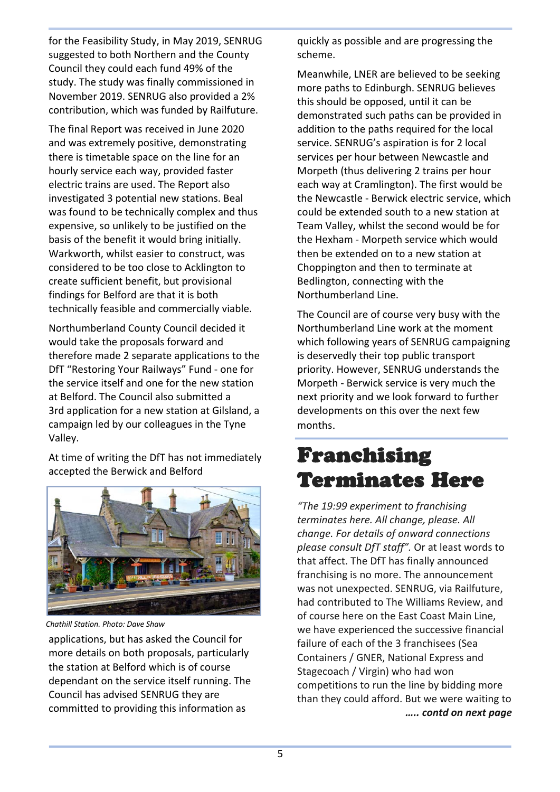for the Feasibility Study, in May 2019, SENRUG suggested to both Northern and the County Council they could each fund 49% of the study. The study was finally commissioned in November 2019. SENRUG also provided a 2% contribution, which was funded by Railfuture.

The final Report was received in June 2020 and was extremely positive, demonstrating there is timetable space on the line for an hourly service each way, provided faster electric trains are used. The Report also investigated 3 potential new stations. Beal was found to be technically complex and thus expensive, so unlikely to be justified on the basis of the benefit it would bring initially. Warkworth, whilst easier to construct, was considered to be too close to Acklington to create sufficient benefit, but provisional findings for Belford are that it is both technically feasible and commercially viable.

Northumberland County Council decided it would take the proposals forward and therefore made 2 separate applications to the DfT "Restoring Your Railways" Fund - one for the service itself and one for the new station at Belford. The Council also submitted a 3rd application for a new station at Gilsland, a campaign led by our colleagues in the Tyne Valley.

At time of writing the DfT has not immediately accepted the Berwick and Belford



*Chathill Station. Photo: Dave Shaw*

applications, but has asked the Council for more details on both proposals, particularly the station at Belford which is of course dependant on the service itself running. The Council has advised SENRUG they are committed to providing this information as

quickly as possible and are progressing the scheme.

Meanwhile, LNER are believed to be seeking more paths to Edinburgh. SENRUG believes this should be opposed, until it can be demonstrated such paths can be provided in addition to the paths required for the local service. SENRUG's aspiration is for 2 local services per hour between Newcastle and Morpeth (thus delivering 2 trains per hour each way at Cramlington). The first would be the Newcastle - Berwick electric service, which could be extended south to a new station at Team Valley, whilst the second would be for the Hexham - Morpeth service which would then be extended on to a new station at Choppington and then to terminate at Bedlington, connecting with the Northumberland Line.

The Council are of course very busy with the Northumberland Line work at the moment which following years of SENRUG campaigning is deservedly their top public transport priority. However, SENRUG understands the Morpeth - Berwick service is very much the next priority and we look forward to further developments on this over the next few months.

### Franchising Terminates Here

*"The 19:99 experiment to franchising terminates here. All change, please. All change. For details of onward connections please consult DfT staff".* Or at least words to that affect. The DfT has finally announced franchising is no more. The announcement was not unexpected. SENRUG, via Railfuture, had contributed to The Williams Review, and of course here on the East Coast Main Line, we have experienced the successive financial failure of each of the 3 franchisees (Sea Containers / GNER, National Express and Stagecoach / Virgin) who had won competitions to run the line by bidding more than they could afford. But we were waiting to *….. contd on next page*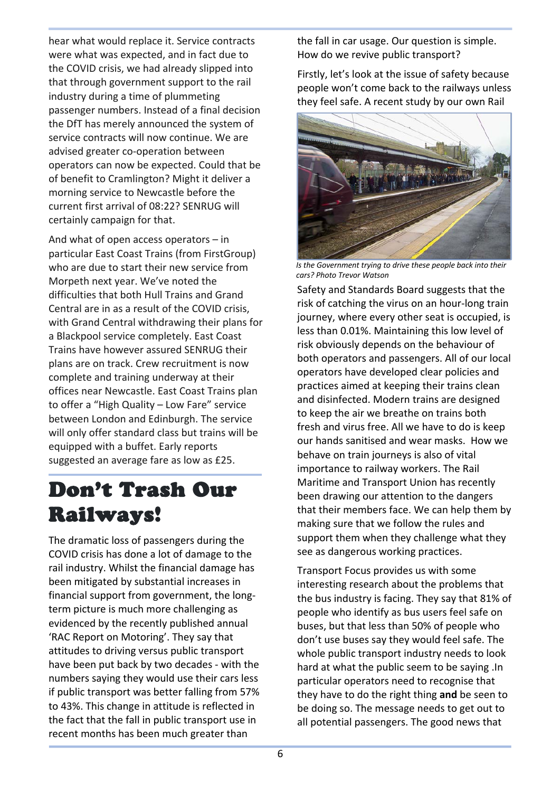hear what would replace it. Service contracts were what was expected, and in fact due to the COVID crisis, we had already slipped into that through government support to the rail industry during a time of plummeting passenger numbers. Instead of a final decision the DfT has merely announced the system of service contracts will now continue. We are advised greater co-operation between operators can now be expected. Could that be of benefit to Cramlington? Might it deliver a morning service to Newcastle before the current first arrival of 08:22? SENRUG will certainly campaign for that.

And what of open access operators – in particular East Coast Trains (from FirstGroup) who are due to start their new service from Morpeth next year. We've noted the difficulties that both Hull Trains and Grand Central are in as a result of the COVID crisis, with Grand Central withdrawing their plans for a Blackpool service completely. East Coast Trains have however assured SENRUG their plans are on track. Crew recruitment is now complete and training underway at their offices near Newcastle. East Coast Trains plan to offer a "High Quality – Low Fare" service between London and Edinburgh. The service will only offer standard class but trains will be equipped with a buffet. Early reports suggested an average fare as low as £25.

## Don't Trash Our Railways!

The dramatic loss of passengers during the COVID crisis has done a lot of damage to the rail industry. Whilst the financial damage has been mitigated by substantial increases in financial support from government, the longterm picture is much more challenging as evidenced by the recently published annual 'RAC Report on Motoring'. They say that attitudes to driving versus public transport have been put back by two decades - with the numbers saying they would use their cars less if public transport was better falling from 57% to 43%. This change in attitude is reflected in the fact that the fall in public transport use in recent months has been much greater than

the fall in car usage. Our question is simple. How do we revive public transport?

Firstly, let's look at the issue of safety because people won't come back to the railways unless they feel safe. A recent study by our own Rail



*Is the Government trying to drive these people back into their cars? Photo Trevor Watson*

Safety and Standards Board suggests that the risk of catching the virus on an hour-long train journey, where every other seat is occupied, is less than 0.01%. Maintaining this low level of risk obviously depends on the behaviour of both operators and passengers. All of our local operators have developed clear policies and practices aimed at keeping their trains clean and disinfected. Modern trains are designed to keep the air we breathe on trains both fresh and virus free. All we have to do is keep our hands sanitised and wear masks. How we behave on train journeys is also of vital importance to railway workers. The Rail Maritime and Transport Union has recently been drawing our attention to the dangers that their members face. We can help them by making sure that we follow the rules and support them when they challenge what they see as dangerous working practices.

Transport Focus provides us with some interesting research about the problems that the bus industry is facing. They say that 81% of people who identify as bus users feel safe on buses, but that less than 50% of people who don't use buses say they would feel safe. The whole public transport industry needs to look hard at what the public seem to be saying .In particular operators need to recognise that they have to do the right thing **and** be seen to be doing so. The message needs to get out to all potential passengers. The good news that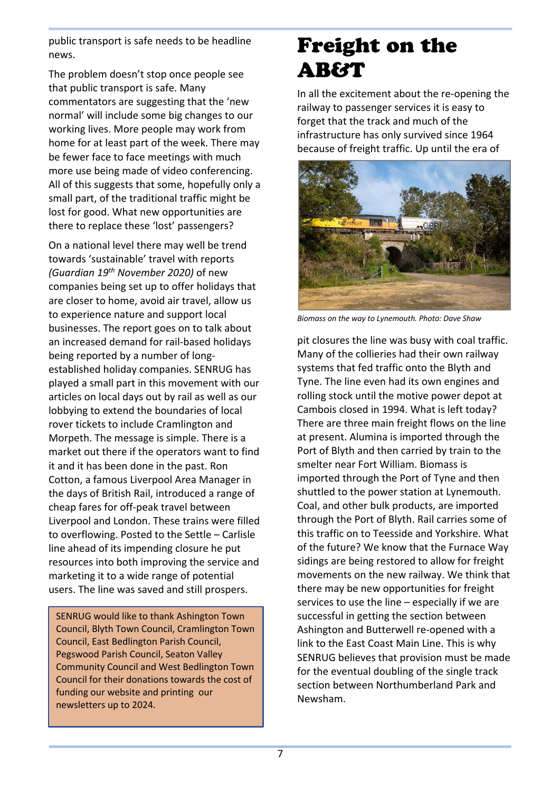public transport is safe needs to be headline news.

The problem doesn't stop once people see that public transport is safe. Many commentators are suggesting that the 'new normal' will include some big changes to our working lives. More people may work from home for at least part of the week. There may be fewer face to face meetings with much more use being made of video conferencing. All of this suggests that some, hopefully only a small part, of the traditional traffic might be lost for good. What new opportunities are there to replace these 'lost' passengers?

On a national level there may well be trend towards 'sustainable' travel with reports *(Guardian 19th November 2020)* of new companies being set up to offer holidays that are closer to home, avoid air travel, allow us to experience nature and support local businesses. The report goes on to talk about an increased demand for rail-based holidays being reported by a number of longestablished holiday companies. SENRUG has played a small part in this movement with our articles on local days out by rail as well as our lobbying to extend the boundaries of local rover tickets to include Cramlington and Morpeth. The message is simple. There is a market out there if the operators want to find it and it has been done in the past. Ron Cotton, a famous Liverpool Area Manager in the days of British Rail, introduced a range of cheap fares for off-peak travel between Liverpool and London. These trains were filled to overflowing. Posted to the Settle – Carlisle line ahead of its impending closure he put resources into both improving the service and marketing it to a wide range of potential users. The line was saved and still prospers.

SENRUG would like to thank Ashington Town Council, Blyth Town Council, Cramlington Town Council, East Bedlington Parish Council, Pegswood Parish Council, Seaton Valley Community Council and West Bedlington Town Council for their donations towards the cost of funding our website and printing our newsletters up to 2024.

# Freight on the **AB&T**

In all the excitement about the re-opening the railway to passenger services it is easy to forget that the track and much of the infrastructure has only survived since 1964 because of freight traffic. Up until the era of



*Biomass on the way to Lynemouth. Photo: Dave Shaw*

pit closures the line was busy with coal traffic. Many of the collieries had their own railway systems that fed traffic onto the Blyth and Tyne. The line even had its own engines and rolling stock until the motive power depot at Cambois closed in 1994. What is left today? There are three main freight flows on the line at present. Alumina is imported through the Port of Blyth and then carried by train to the smelter near Fort William. Biomass is imported through the Port of Tyne and then shuttled to the power station at Lynemouth. Coal, and other bulk products, are imported through the Port of Blyth. Rail carries some of this traffic on to Teesside and Yorkshire. What of the future? We know that the Furnace Way sidings are being restored to allow for freight movements on the new railway. We think that there may be new opportunities for freight services to use the line – especially if we are successful in getting the section between Ashington and Butterwell re-opened with a link to the East Coast Main Line. This is why SENRUG believes that provision must be made for the eventual doubling of the single track section between Northumberland Park and Newsham.